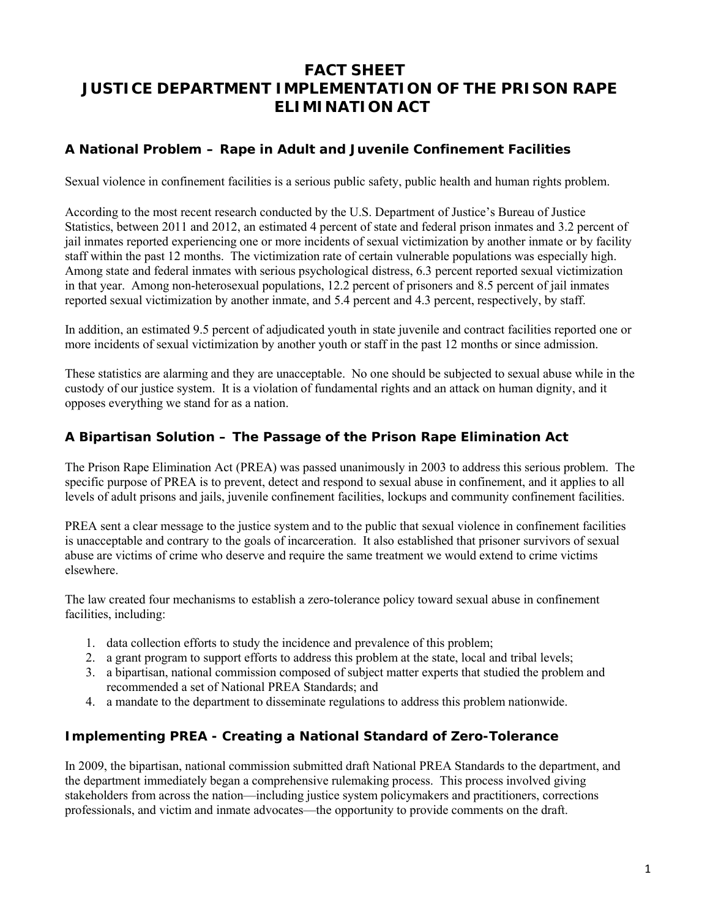# **FACT SHEET JUSTICE DEPARTMENT IMPLEMENTATION OF THE PRISON RAPE ELIMINATION ACT**

## **A National Problem – Rape in Adult and Juvenile Confinement Facilities**

Sexual violence in confinement facilities is a serious public safety, public health and human rights problem.

According to the most recent research conducted by the U.S. Department of Justice's Bureau of Justice Statistics, between 2011 and 2012, an estimated 4 percent of state and federal prison inmates and 3.2 percent of jail inmates reported experiencing one or more incidents of sexual victimization by another inmate or by facility staff within the past 12 months. The victimization rate of certain vulnerable populations was especially high. Among state and federal inmates with serious psychological distress, 6.3 percent reported sexual victimization in that year. Among non-heterosexual populations, 12.2 percent of prisoners and 8.5 percent of jail inmates reported sexual victimization by another inmate, and 5.4 percent and 4.3 percent, respectively, by staff.

In addition, an estimated 9.5 percent of adjudicated youth in state juvenile and contract facilities reported one or more incidents of sexual victimization by another youth or staff in the past 12 months or since admission.

These statistics are alarming and they are unacceptable. No one should be subjected to sexual abuse while in the custody of our justice system. It is a violation of fundamental rights and an attack on human dignity, and it opposes everything we stand for as a nation.

### **A Bipartisan Solution – The Passage of the Prison Rape Elimination Act**

The Prison Rape Elimination Act (PREA) was passed unanimously in 2003 to address this serious problem. The specific purpose of PREA is to prevent, detect and respond to sexual abuse in confinement, and it applies to all levels of adult prisons and jails, juvenile confinement facilities, lockups and community confinement facilities.

PREA sent a clear message to the justice system and to the public that sexual violence in confinement facilities is unacceptable and contrary to the goals of incarceration. It also established that prisoner survivors of sexual abuse are victims of crime who deserve and require the same treatment we would extend to crime victims elsewhere.

The law created four mechanisms to establish a zero-tolerance policy toward sexual abuse in confinement facilities, including:

- 1. data collection efforts to study the incidence and prevalence of this problem;
- 2. a grant program to support efforts to address this problem at the state, local and tribal levels;
- 3. a bipartisan, national commission composed of subject matter experts that studied the problem and recommended a set of National PREA Standards; and
- 4. a mandate to the department to disseminate regulations to address this problem nationwide.

### **Implementing PREA - Creating a National Standard of Zero-Tolerance**

In 2009, the bipartisan, national commission submitted draft National PREA Standards to the department, and the department immediately began a comprehensive rulemaking process. This process involved giving stakeholders from across the nation—including justice system policymakers and practitioners, corrections professionals, and victim and inmate advocates—the opportunity to provide comments on the draft.